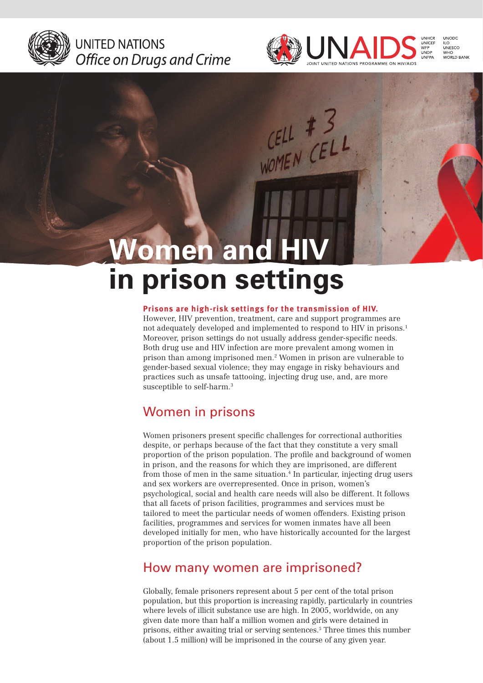

UNITED NATIONS Office on Drugs and Crime



 $CELL$  # 3

# **omen and in prison settings**

#### **Prisons are high-risk settings for the transmission of HIV.**

However, HIV prevention, treatment, care and support programmes are not adequately developed and implemented to respond to HIV in prisons.1 Moreover, prison settings do not usually address gender-specific needs. Both drug use and HIV infection are more prevalent among women in prison than among imprisoned men.2 Women in prison are vulnerable to gender-based sexual violence; they may engage in risky behaviours and practices such as unsafe tattooing, injecting drug use, and, are more susceptible to self-harm.<sup>3</sup>

### Women in prisons

Women prisoners present specific challenges for correctional authorities despite, or perhaps because of the fact that they constitute a very small proportion of the prison population. The profile and background of women in prison, and the reasons for which they are imprisoned, are different from those of men in the same situation.<sup>4</sup> In particular, injecting drug users and sex workers are overrepresented. Once in prison, women's psychological, social and health care needs will also be different. It follows that all facets of prison facilities, programmes and services must be tailored to meet the particular needs of women offenders. Existing prison facilities, programmes and services for women inmates have all been developed initially for men, who have historically accounted for the largest proportion of the prison population.

### How many women are imprisoned?

Globally, female prisoners represent about 5 per cent of the total prison population, but this proportion is increasing rapidly, particularly in countries where levels of illicit substance use are high. In 2005, worldwide, on any given date more than half a million women and girls were detained in prisons, either awaiting trial or serving sentences.5 Three times this number (about 1.5 million) will be imprisoned in the course of any given year.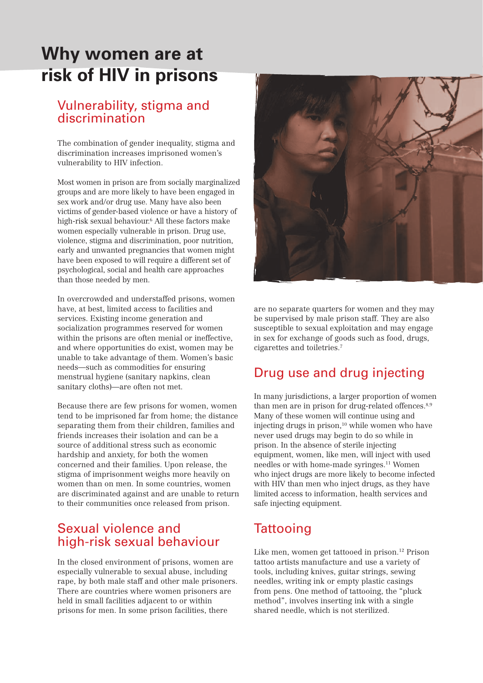## **Why women are at risk of HIV in prisons**

### Vulnerability, stigma and discrimination

The combination of gender inequality, stigma and discrimination increases imprisoned women's vulnerability to HIV infection.

Most women in prison are from socially marginalized groups and are more likely to have been engaged in sex work and/or drug use. Many have also been victims of gender-based violence or have a history of high-risk sexual behaviour.6 All these factors make women especially vulnerable in prison. Drug use, violence, stigma and discrimination, poor nutrition, early and unwanted pregnancies that women might have been exposed to will require a different set of psychological, social and health care approaches than those needed by men.

In overcrowded and understaffed prisons, women have, at best, limited access to facilities and services. Existing income generation and socialization programmes reserved for women within the prisons are often menial or ineffective, and where opportunities do exist, women may be unable to take advantage of them. Women's basic needs—such as commodities for ensuring menstrual hygiene (sanitary napkins, clean sanitary cloths)—are often not met.

Because there are few prisons for women, women tend to be imprisoned far from home; the distance separating them from their children, families and friends increases their isolation and can be a source of additional stress such as economic hardship and anxiety, for both the women concerned and their families. Upon release, the stigma of imprisonment weighs more heavily on women than on men. In some countries, women are discriminated against and are unable to return to their communities once released from prison.

### Sexual violence and high-risk sexual behaviour

In the closed environment of prisons, women are especially vulnerable to sexual abuse, including rape, by both male staff and other male prisoners. There are countries where women prisoners are held in small facilities adjacent to or within prisons for men. In some prison facilities, there



are no separate quarters for women and they may be supervised by male prison staff. They are also susceptible to sexual exploitation and may engage in sex for exchange of goods such as food, drugs, cigarettes and toiletries.7

### Drug use and drug injecting

In many jurisdictions, a larger proportion of women than men are in prison for drug-related offences.<sup>8,9</sup> Many of these women will continue using and injecting drugs in prison, $10$  while women who have never used drugs may begin to do so while in prison. In the absence of sterile injecting equipment, women, like men, will inject with used needles or with home-made syringes.11 Women who inject drugs are more likely to become infected with HIV than men who inject drugs, as they have limited access to information, health services and safe injecting equipment.

### **Tattooing**

Like men, women get tattooed in prison.<sup>12</sup> Prison tattoo artists manufacture and use a variety of tools, including knives, guitar strings, sewing needles, writing ink or empty plastic casings from pens. One method of tattooing, the "pluck method", involves inserting ink with a single shared needle, which is not sterilized.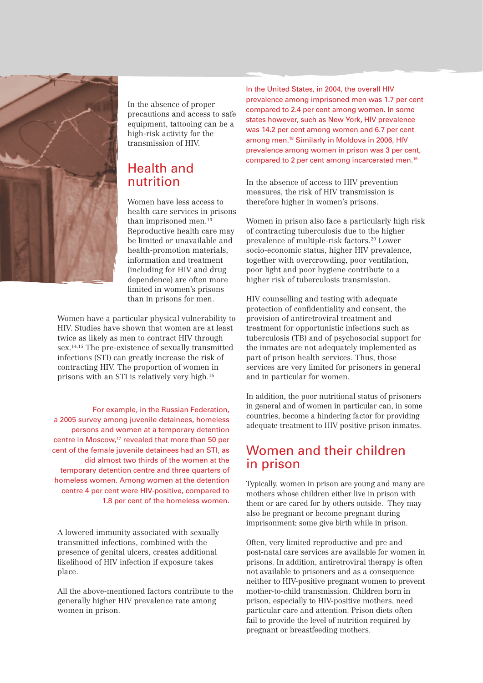

In the absence of proper precautions and access to safe equipment, tattooing can be a high-risk activity for the transmission of HIV.

### Health and nutrition

Women have less access to health care services in prisons than imprisoned men.<sup>13</sup> Reproductive health care may be limited or unavailable and health-promotion materials, information and treatment (including for HIV and drug dependence) are often more limited in women's prisons than in prisons for men.

Women have a particular physical vulnerability to HIV. Studies have shown that women are at least twice as likely as men to contract HIV through sex.14,15 The pre-existence of sexually transmitted infections (STI) can greatly increase the risk of contracting HIV. The proportion of women in prisons with an STI is relatively very high.16

For example, in the Russian Federation, a 2005 survey among juvenile detainees, homeless persons and women at a temporary detention centre in Moscow,<sup>17</sup> revealed that more than 50 per cent of the female juvenile detainees had an STI, as did almost two thirds of the women at the temporary detention centre and three quarters of homeless women. Among women at the detention centre 4 per cent were HIV-positive, compared to 1.8 per cent of the homeless women.

A lowered immunity associated with sexually transmitted infections, combined with the presence of genital ulcers, creates additional likelihood of HIV infection if exposure takes place.

All the above-mentioned factors contribute to the generally higher HIV prevalence rate among women in prison.

In the United States, in 2004, the overall HIV prevalence among imprisoned men was 1.7 per cent compared to 2.4 per cent among women. In some states however, such as New York, HIV prevalence was 14.2 per cent among women and 6.7 per cent among men.18 Similarly in Moldova in 2006, HIV prevalence among women in prison was 3 per cent, compared to 2 per cent among incarcerated men.19

In the absence of access to HIV prevention measures, the risk of HIV transmission is therefore higher in women's prisons.

Women in prison also face a particularly high risk of contracting tuberculosis due to the higher prevalence of multiple-risk factors.20 Lower socio-economic status, higher HIV prevalence, together with overcrowding, poor ventilation, poor light and poor hygiene contribute to a higher risk of tuberculosis transmission.

HIV counselling and testing with adequate protection of confidentiality and consent, the provision of antiretroviral treatment and treatment for opportunistic infections such as tuberculosis (TB) and of psychosocial support for the inmates are not adequately implemented as part of prison health services. Thus, those services are very limited for prisoners in general and in particular for women.

In addition, the poor nutritional status of prisoners in general and of women in particular can, in some countries, become a hindering factor for providing adequate treatment to HIV positive prison inmates.

### Women and their children in prison

Typically, women in prison are young and many are mothers whose children either live in prison with them or are cared for by others outside. They may also be pregnant or become pregnant during imprisonment; some give birth while in prison.

Often, very limited reproductive and pre and post-natal care services are available for women in prisons. In addition, antiretroviral therapy is often not available to prisoners and as a consequence neither to HIV-positive pregnant women to prevent mother-to-child transmission. Children born in prison, especially to HIV-positive mothers, need particular care and attention. Prison diets often fail to provide the level of nutrition required by pregnant or breastfeeding mothers.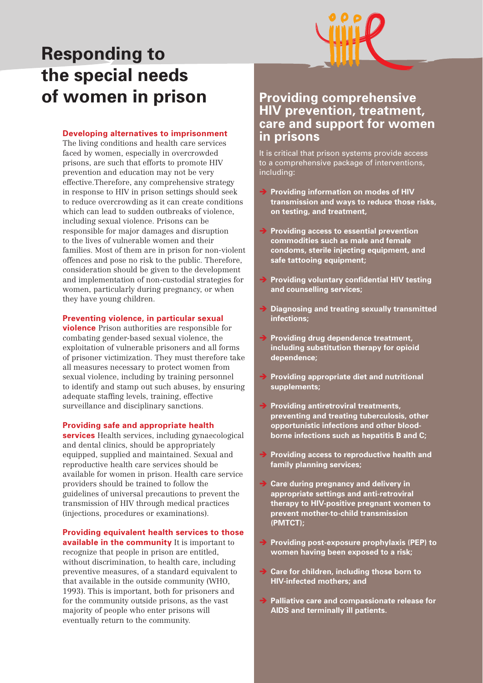# **Responding to the special needs of women in prison**

#### **Developing alternatives to imprisonment**

The living conditions and health care services faced by women, especially in overcrowded prisons, are such that efforts to promote HIV prevention and education may not be very effective.Therefore, any comprehensive strategy in response to HIV in prison settings should seek to reduce overcrowding as it can create conditions which can lead to sudden outbreaks of violence, including sexual violence. Prisons can be responsible for major damages and disruption to the lives of vulnerable women and their families. Most of them are in prison for non-violent offences and pose no risk to the public. Therefore, consideration should be given to the development and implementation of non-custodial strategies for women, particularly during pregnancy, or when they have young children.

#### **Preventing violence, in particular sexual**

**violence** Prison authorities are responsible for combating gender-based sexual violence, the exploitation of vulnerable prisoners and all forms of prisoner victimization. They must therefore take all measures necessary to protect women from sexual violence, including by training personnel to identify and stamp out such abuses, by ensuring adequate staffing levels, training, effective surveillance and disciplinary sanctions.

#### **Providing safe and appropriate health**

**services** Health services, including gynaecological and dental clinics, should be appropriately equipped, supplied and maintained. Sexual and reproductive health care services should be available for women in prison. Health care service providers should be trained to follow the guidelines of universal precautions to prevent the transmission of HIV through medical practices (injections, procedures or examinations).

#### **Providing equivalent health services to those available in the community** It is important to

recognize that people in prison are entitled, without discrimination, to health care, including preventive measures, of a standard equivalent to that available in the outside community (WHO, 1993). This is important, both for prisoners and for the community outside prisons, as the vast majority of people who enter prisons will eventually return to the community.

### **Providing comprehensive HIV prevention, treatment, care and support for women in prisons**

It is critical that prison systems provide access to a comprehensive package of interventions, including:

- **Providing information on modes of HIV transmission and ways to reduce those risks, on testing, and treatment,**
- **→ Providing access to essential prevention commodities such as male and female condoms, sterile injecting equipment, and safe tattooing equipment;**
- $\rightarrow$  **Providing voluntary confidential HIV testing and counselling services;**
- **→ Diagnosing and treating sexually transmitted infections;**
- **Providing drug dependence treatment, including substitution therapy for opioid dependence;**
- **→ Providing appropriate diet and nutritional supplements;**
- **→ Providing antiretroviral treatments, preventing and treating tuberculosis, other opportunistic infections and other bloodborne infections such as hepatitis B and C;**
- **Providing access to reproductive health and family planning services;**
- **→ Care during pregnancy and delivery in appropriate settings and anti-retroviral therapy to HIV-positive pregnant women to prevent mother-to-child transmission (PMTCT);**
- → Providing post-exposure prophylaxis (PEP) to **women having been exposed to a risk;**
- **→ Care for children, including those born to HIV-infected mothers; and**
- **→ Palliative care and compassionate release for AIDS and terminally ill patients.**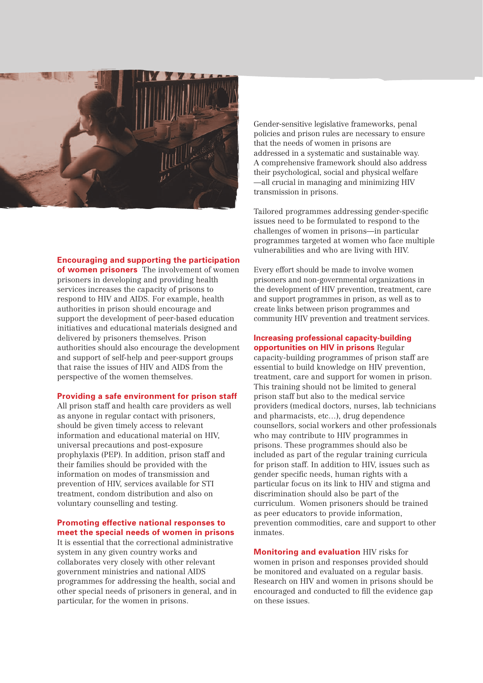

**Encouraging and supporting the participation** 

**of women prisoners** The involvement of women prisoners in developing and providing health services increases the capacity of prisons to respond to HIV and AIDS. For example, health authorities in prison should encourage and support the development of peer-based education initiatives and educational materials designed and delivered by prisoners themselves. Prison authorities should also encourage the development and support of self-help and peer-support groups that raise the issues of HIV and AIDS from the perspective of the women themselves.

#### **Providing a safe environment for prison staff**

All prison staff and health care providers as well as anyone in regular contact with prisoners, should be given timely access to relevant information and educational material on HIV, universal precautions and post-exposure prophylaxis (PEP). In addition, prison staff and their families should be provided with the information on modes of transmission and prevention of HIV, services available for STI treatment, condom distribution and also on voluntary counselling and testing.

#### **Promoting effective national responses to meet the special needs of women in prisons**

It is essential that the correctional administrative system in any given country works and collaborates very closely with other relevant government ministries and national AIDS programmes for addressing the health, social and other special needs of prisoners in general, and in particular, for the women in prisons.

Gender-sensitive legislative frameworks, penal policies and prison rules are necessary to ensure that the needs of women in prisons are addressed in a systematic and sustainable way. A comprehensive framework should also address their psychological, social and physical welfare —all crucial in managing and minimizing HIV transmission in prisons.

Tailored programmes addressing gender-specific issues need to be formulated to respond to the challenges of women in prisons—in particular programmes targeted at women who face multiple vulnerabilities and who are living with HIV.

Every effort should be made to involve women prisoners and non-governmental organizations in the development of HIV prevention, treatment, care and support programmes in prison, as well as to create links between prison programmes and community HIV prevention and treatment services.

#### **Increasing professional capacity-building opportunities on HIV in prisons** Regular

capacity-building programmes of prison staff are essential to build knowledge on HIV prevention, treatment, care and support for women in prison. This training should not be limited to general prison staff but also to the medical service providers (medical doctors, nurses, lab technicians and pharmacists, etc…), drug dependence counsellors, social workers and other professionals who may contribute to HIV programmes in prisons. These programmes should also be included as part of the regular training curricula for prison staff. In addition to HIV, issues such as gender specific needs, human rights with a particular focus on its link to HIV and stigma and discrimination should also be part of the curriculum. Women prisoners should be trained as peer educators to provide information, prevention commodities, care and support to other inmates.

**Monitoring and evaluation** HIV risks for women in prison and responses provided should be monitored and evaluated on a regular basis. Research on HIV and women in prisons should be encouraged and conducted to fill the evidence gap on these issues.